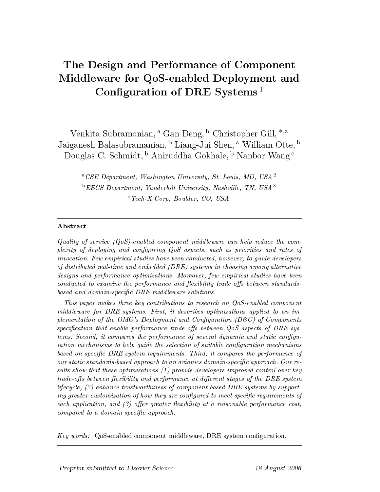# The Design and Performance of October 2014 1995 Middleware for QoS-enabled Deployment and Connguration of DRE Systems

Venkita Subramonian,  $^{\rm a}$  Gan Deng,  $^{\rm b}$  Christopher Gill,  $^{*,\rm a}$ Jaiganesh Balasubramanian, <sup>b</sup> Liang-Jui Shen, <sup>a</sup> William Otte, <sup>b</sup> Douglas C. Schmidt, <sup>b</sup> Aniruddha Gokhale, <sup>b</sup> Nanbor Wang<sup>c</sup>

 $\alpha$ <sup>a</sup> CSE Department, Washington University, St. Louis, MO, USA<sup>2</sup>  $b$ EECS Department, Vanderbilt University, Nashville, TN, USA<sup>3</sup>  $c$ <sup>c</sup>Tech-X Corp, Boulder, CO, USA

#### Abstract

Quality of service  $(QoS)$ -enabled component middleware can help reduce the complexity of deploying and configuring QoS aspects, such as priorities and rates of invocation. Few empirical studies have been conducted, however, to guide developers of distributed real-time and embedded (DRE) systems in choosing among alternative designs and performance optimizations. Moreover, few empirical studies have been conducted to examine the performance and flexibility trade-offs between standardsbased and domain-specific DRE middleware solutions.

This paper makes three key contributions to research on QoS-enabled component middleware for DRE systems. First, it describes optimizations applied to an implementation of the OMG's Deployment and Configuration ( $D \& C$ ) of Components specification that enable performance trade-offs between  $QoS$  aspects of DRE systems. Second, it compares the performance of several dynamic and static configuration mechanisms to help quide the selection of suitable configuration mechanisms based on specific DRE system requirements. Third, it compares the performance of our static standards-based approach to an avionics domain-specic approach. Our results show that these optimizations (1) provide developers improved control over key trade-offs between flexibility and performance at different stages of the DRE system lifecycle, (2) enhance trustworthiness of component-based DRE systems by supporting greater customization of how they are configured to meet specific requirements of each application, and  $(3)$  offer greater flexibility at a reasonable performance cost, compared to a domain-specific approach.

Key words: QoS-enabled component middleware, DRE system conguration.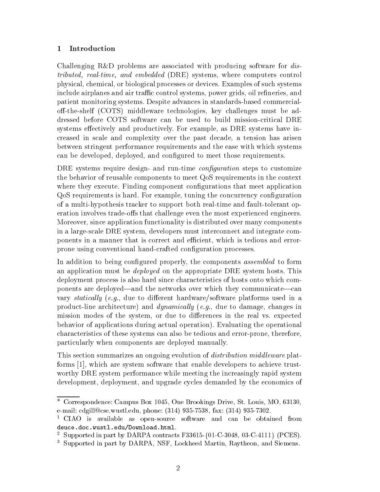#### 1 Introduction

Challenging R&D problems are associated with producing software for distributed, real-time, and embedded (DRE) systems, where computers control physical, chemical, or biological processes or devices. Examples of such systems include airplanes and air traffic control systems, power grids, oil refineries, and patient monitoring systems. Despite advances in standards-based commercialoff-the-shelf (COTS) middleware technologies, key challenges must be addressed before COTS software can be used to build mission-critical DRE systems effectively and productively. For example, as DRE systems have increased in scale and complexity over the past decade, a tension has arisen between stringent performance requirements and the ease with which systems can be developed, deployed, and configured to meet those requirements.

DRE systems require design- and run-time *configuration* steps to customize the behavior of reusable components to meet QoS requirements in the context where they execute. Finding component configurations that meet application QoS requirements is hard. For example, tuning the concurrency conguration of a multi-hypothesis tracker to support both real-time and fault-tolerant operation involves trade-offs that challenge even the most experienced engineers. Moreover, since application functionality is distributed over many components in a large-scale DRE system, developers must interconnect and integrate components in a manner that is correct and efficient, which is tedious and errorprone using conventional hand-crafted conguration processes.

In addition to being configured properly, the components *assembled* to form an application must be *deployed* on the appropriate DRE system hosts. This deployment process is also hard since characteristics of hosts onto which components are deployed—and the networks over which they communicate—can vary statically (e.g., due to different hardware/software platforms used in a product-line architecture) and *dynamically* (*e.g.*, due to damage, changes in mission modes of the system, or due to differences in the real vs. expected behavior of applications during actual operation). Evaluating the operational characteristics of these systems can also be tedious and error-prone, therefore, particularly when components are deployed manually.

This section summarizes an ongoing evolution of *distribution middleware* platforms [1], which are system software that enable developers to achieve trustworthy DRE system performance while meeting the increasingly rapid system development, deployment, and upgrade cycles demanded by the economics of

Correspondence: Campus Box 1045, One Brookings Drive, St. Louis, MO, 63130, e-mail: cdgill@cse.wustl.edu, phone: (314) 935-7538, fax: (314) 935-7302.

<sup>1</sup> CIAO is available as open-source software and can be obtained from deuce.doc.wustl.edu/Download.html.

<sup>2</sup> Supported in part by DARPA contracts F33615-f01-C-3048, 03-C-4111g (PCES).

 $\sim$  Supported in part by DARPA, NSF, Lockheed Martin, Raytheon, and Siemens.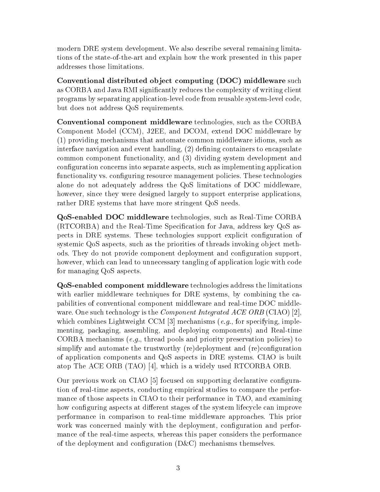modern DRE system development. We also describe several remaining limitations of the state-of-the-art and explain how the work presented in this paper addresses those limitations.

Conventional distributed object computing (DOC) middleware such as CORBA and Java RMI signicantly reduces the complexity of writing client programs by separating application-level code from reusable system-level code, but does not address QoS requirements.

Conventional component middleware technologies, such asthe CORBA Component Model (CCM), J2EE, and DCOM, extend DOC middleware by (1) providing mechanisms that automate common middleware idioms, such as interface navigation and event handling,  $(2)$  defining containers to encapsulate common component functionality, and (3) dividing system development and conguration concerns into separate aspects, such as implementing application functionality vs. configuring resource management policies. These technologies alone do not adequately address the QoS limitations of DOC middleware, however, since they were designed largely to support enterprise applications, rather DRE systems that have more stringent QoS needs.

**QoS-enabled DOC middleware** technologies, such as Real-Time CORBA (RTCORBA) and the Real-Time Specication for Java, address key QoS aspects in DRE systems. These technologies support explicit conguration of systemic QoS aspects, such as the priorities of threads invoking object methods. They do not provide component deployment and conguration support, however, which can lead to unnecessary tangling of application logic with code for managing QoS aspects.

QoS-enabled component middleware technologies address the limitations with earlier middleware techniques for DRE systems, by combining the capabilities of conventional component middleware and real-time DOC middleware. One such technology is the *Component Integrated ACE ORB* (CIAO) [2], which combines Lightweight CCM [3] mechanisms  $(e.g., for specifying, implies)$ menting, packaging, assembling, and deploying components) and Real-time CORBA mechanisms (e.g., thread pools and priority preservation policies) to simplify and automate the trustworthy (re)deployment and (re)configuration of application components and QoS aspects in DRE systems. CIAO is built atop The ACE ORB (TAO) [4], which is a widely used RTCORBA ORB.

Our previous work on CIAO [5] focused on supporting declarative conguration of real-time aspects, conducting empirical studies to compare the performance of those aspects in CIAO to their performance in TAO, and examining how configuring aspects at different stages of the system lifecycle can improve performance in comparison to real-time middleware approaches. This prior work was concerned mainly with the deployment, configuration and performance of the real-time aspects, whereas this paper considers the performance of the deployment and configuration  $(D&C)$  mechanisms themselves.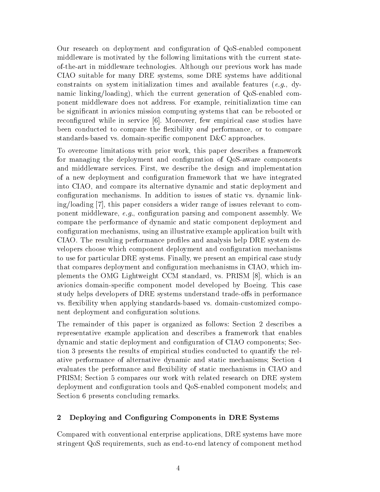Our research on deployment and conguration of QoS-enabled component middleware is motivated by the following limitations with the current stateof-the-art in middleware technologies. Although our previous work has made CIAO suitable for many DRE systems, some DRE systems have additional constraints on system initialization times and available features (e.g., dynamic linking/loading), which the current generation of QoS-enabled component middleware does not address. For example, reinitialization time can be signicant in avionics mission computing systems that can be rebooted or reconfigured while in service [6]. Moreover, few empirical case studies have been conducted to compare the flexibility and performance, or to compare standards-based vs. domain-specific component D&C approaches.

To overcome limitations with prior work, this paper describes a framework for managing the deployment and conguration of QoS-aware components and middleware services. First, we describe the design and implementation of a new deployment and conguration framework that we have integrated into CIAO, and compare its alternative dynamic and static deployment and conguration mechanisms. In addition to issues of static vs. dynamic linking/loading [7], this paper considers a wider range of issues relevant to component middleware, e.g., configuration parsing and component assembly. We compare the performance of dynamic and static component deployment and conguration mechanisms, using an illustrative example application built with CIAO. The resulting performance profiles and analysis help DRE system developers choose which component deployment and conguration mechanisms to use for particular DRE systems. Finally, we present an empirical case study that compares deployment and conguration mechanisms in CIAO, which implements the OMG Lightweight CCM standard, vs. PRISM [8], which is an avionics domain-specific component model developed by Boeing. This case study helps developers of DRE systems understand trade-offs in performance vs. flexibility when applying standards-based vs. domain-customized component deployment and configuration solutions.

The remainder of this paper is organized as follows: Section 2 describes a representative example application and describes a framework that enables dynamic and static deployment and conguration of CIAO components; Section 3 presents the results of empirical studies conducted to quantify the relative performance of alternative dynamic and static mechanisms; Section 4 evaluates the performance and flexibility of static mechanisms in CIAO and PRISM; Section 5 compares our work with related research on DRE system deployment and configuration tools and QoS-enabled component models; and Section 6 presents concluding remarks.

#### 2 Deploying and Configuring Components in DRE Systems

Compared with conventional enterprise applications, DRE systems have more stringent QoS requirements, such as end-to-end latency of component method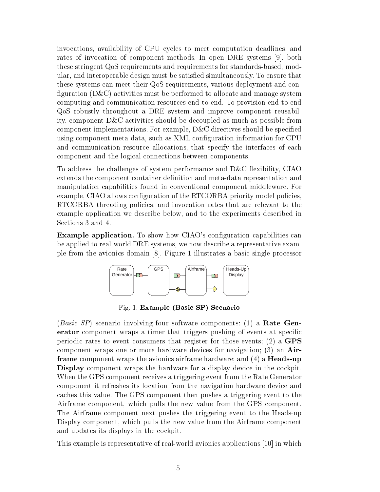invocations, availability of CPU cycles to meet computation deadlines, and rates of invocation of component methods. In open DRE systems [9], both these stringent QoS requirements and requirements for standards-based, modular, and interoperable design must be satised simultaneously. To ensure that these systems can meet their QoS requirements, various deployment and con figuration ( $D\&C$ ) activities must be performed to allocate and manage system computing and communication resources end-to-end. To provision end-to-end QoS robustly throughout a DRE system andimprove component reusability, component D&C activities should be decoupled as much as possible from component implementations. For example, D&C directives should be specied using component meta-data, such as XML conguration information for CPU and communication resource allocations, that specify the interfaces of each component and the logical connections between components.

To address the challenges of system performance and  $D\&C$  flexibility, CIAO extends the component container definition and meta-data representation and manipulation capabilities found in conventional component middleware. For example, CIAO allows configuration of the RTCORBA priority model policies, RTCORBA threading policies, and invocation rates that are relevant to the example application we describe below, and to the experiments described in Sections 3 and 4.

**Example application.** To show how CIAO's configuration capabilities can be applied to real-world DRE systems, we now describe a representative example from the avionics domain [8]. Figure 1 illustrates a basic single-processor



Fig. 1. Example (Basic SP) Scenario

(*Basic SP*) scenario involving four software components: (1) a **Rate Gen**erator component wraps a timer that triggers pushing of events at specific periodic rates to event consumers that register for those events; (2) a GPS component wraps one or more hardware devices for navigation; (3) an Air**frame** component wraps the avionics airframe hardware; and (4) a **Heads-up** Display component wraps the hardware for a display device in the cockpit. When the GPS component receives a triggering event from the Rate Generator component it refreshes its location from the navigation hardware device and caches this value. The GPS component then pushes a triggering event to the Airframe component, which pulls the new value from the GPS component. The Airframe component next pushes the triggering event to the Heads-up Display component, which pulls the new value from the Airframe component and updates its displays in the cockpit.

This example is representative of real-world avionics applications [10] in which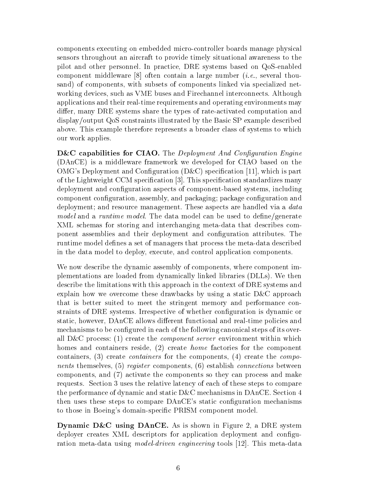components executing on embedded micro-controller boards manage physical sensors throughout an aircraft to provide timely situational awareness to the pilot and other personnel. In practice, DRE systems based on QoS-enabled component middleware  $[8]$  often contain a large number (*i.e.*, several thousand) of components, with subsets of components linked via specialized networking devices, such as VME buses and Firechannel interconnects. Although applications and their real-time requirements and operating environments may differ, many DRE systems share the types of rate-activated computation and display/output QoS constraints illustrated by the Basic SP example described above. This example therefore represents a broader class of systems to which our work applies.

D&C capabilities for CIAO. The Deployment And Configuration Engine (DAnCE) is a middleware framework we developed for CIAO based on the OMG's Deployment and Configuration  $(D\&C)$  specification [11], which is part of the Lightweight CCM specification [3]. This specification standardizes many deployment and configuration aspects of component-based systems, including component configuration, assembly, and packaging; package configuration and deployment; and resource management. These aspects are handled via a *data* model and a *runtime model*. The data model can be used to define/generate XML schemas for storing and interchanging meta-data that describes component assemblies and their deployment and conguration attributes. The runtime model defines a set of managers that process the meta-data described in the data model to deploy, execute, and control application components.

We now describe the dynamic assembly of components, where component implementations are loaded from dynamically linked libraries (DLLs). We then describe the limitations with this approach in the context of DRE systems and explain how we overcome these drawbacks by using a static D&C approach that is better suited to meet the stringent memory and performance constraints of DRE systems. Irrespective of whether conguration is dynamic or static, however, DAnCE allows different functional and real-time policies and mechanisms to be configured in each of the following canonical steps of its overall  $D\&C$  process: (1) create the *component server* environment within which homes and containers reside, (2) create *home* factories for the component containers, (3) create containers for the components, (4) create the components themselves, (5) register components, (6) establish *connections* between components, and (7) activate the components so they can process and make requests. Section 3 uses the relative latency of each of these steps to compare the performance of dynamic and static D&C mechanisms in DAnCE. Section 4 then uses these steps to compare DAnCE's static conguration mechanisms to those in Boeing's domain-specic PRISM component model.

**Dynamic D&C using DAnCE.** As is shown in Figure 2, a DRE system deployer creates XML descriptors for application deployment and configuration meta-data using model-driven engineering tools [12]. This meta-data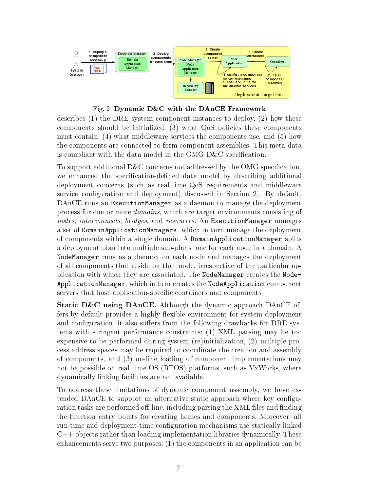

Fig. 2. Dynamic D&C with the DAnCE Framework

describes (1) the DRE system component instances to deploy, (2) how these components should be initialized, (3) what QoS policies these components must contain, (4) what middleware services the components use, and (5) how the components are connected to form component assemblies. This meta-data is compliant with the data model in the OMG D&C specification.

To support additional  $D\&C$  concerns not addressed by the OMG specification, we enhanced the specification-defined data model by describing additional deployment concerns (such as real-time QoS requirements and middleware service configuration and deployment) discussed in Section 2. By default, DAnCE runs an ExecutionManager as a daemon to manage the deployment process for one or more domains, which are target environments consisting of nodes, interconnects, bridges, and resources. An ExecutionManager manages a set of DomainApplicationManagers, which in turn manage the deployment of components within a single domain. A DomainApplicationManager splits a deployment plan into multiple sub-plans, one for each node in a domain. A NodeManager runs as a daemon on each node and manages the deployment of all components that reside on that node, irrespective of the particular application with which they are associated. The NodeManager creates the Node-ApplicationManager, which in turn creates the NodeApplication component servers that host application-specific containers and components.

Static D&C using DAnCE. Although the dynamic approach DAnCE offers by default provides a highly flexible environment for system deployment and configuration, it also suffers from the following drawbacks for DRE systems with stringent performance constraints: (1) XML parsing may be too expensive to be performed during system (re)initialization, (2) multiple process address spaces may be required to coordinate the creation and assembly of components, and (3) on-line loading of component implementations may not be possible on real-time OS (RTOS) platforms, such as VxWorks, where dynamically linking facilities are not available.

To address these limitations of dynamic component assembly, we have extended DAnCE to support an alternative static approach where key configuration tasks are performed off-line, including parsing the XML files and finding the function entry points for creating homes and components. Moreover, all run-time and deployment-time conguration mechanisms use statically linked  $C++$  objects rather than loading implementation libraries dynamically. These enhancements serve two purposes: (1) the components in an application can be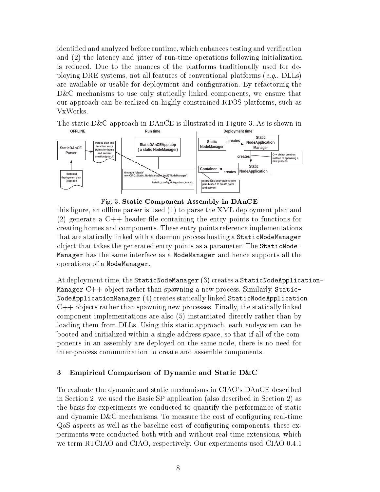identied and analyzed before runtime, which enhances testing and verication and (2) the latency and jitter of run-time operations following initialization is reduced. Due to the nuances of the platforms traditionally used for deploying DRE systems, not all features of conventional platforms (e.g., DLLs) are available or usable for deployment and configuration. By refactoring the D&C mechanisms to use only statically linked components, we ensure that our approach can be realized on highly constrained RTOS platforms, such as VxWorks.

The static D&C approach in DAnCE is illustrated in Figure 3. As is shown in **OFFLINE** Run time **Deployment time**





this figure, an offline parser is used  $(1)$  to parse the XML deployment plan and (2) generate a  $C_{++}$  header file containing the entry points to functions for creating homes and components. These entry points reference implementations that are statically linked with a daemon process hosting a StaticNodeManager object that takes the generated entry points as a parameter. The StaticNode-Manager has the same interface as a NodeManager and hence supports all the operations of a NodeManager.

At deployment time, the StaticNodeManager (3) creates a StaticNodeApplication-Manager  $C++$  object rather than spawning a new process. Similarly, Static-NodeApplicationManager (4) creates statically linked StaticNodeApplication  $C++$  objects rather than spawning new processes. Finally, the statically linked component implementations are also (5) instantiated directly rather than by loading them from DLLs. Using this static approach, each endsystem can be booted and initialized within a single address space, so that if all of the components in an assembly are deployed on the same node, there is no need for inter-process communication to create and assemble components.

## 3 Empirical Comparison of Dynamic and Static D&C

To evaluate the dynamic and static mechanisms in CIAO's DAnCE described in Section 2, we used the Basic SP application (also described in Section 2) as the basis for experiments we conducted to quantify the performance of static and dynamic  $D\&C$  mechanisms. To measure the cost of configuring real-time QoS aspects as well as the baseline cost of conguring components, these experiments were conducted both with and without real-time extensions, which we term RTCIAO and CIAO, respectively. Our experiments used CIAO 0.4.1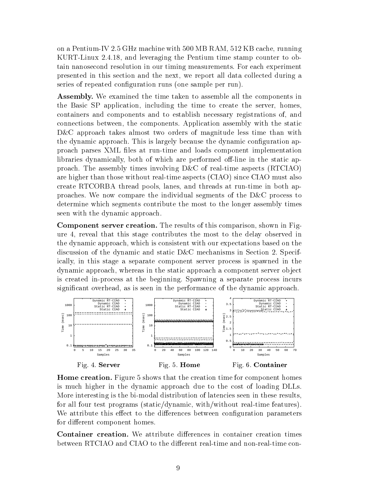on a Pentium-IV 2.5 GHz machine with 500 MB RAM, 512 KB cache, running KURT-Linux 2.4.18, and leveraging the Pentium time stamp counter to obtain nanosecond resolution in our timing measurements. For each experiment presented in this section and the next, we report all data collected during a series of repeated configuration runs (one sample per run).

Assembly. We examined the time taken to assemble all the components in the Basic SP application, including the time to create the server, homes, containers and components and to establish necessary registrations of, and connections between, the components. Application assembly with the static D&C approach takes almost two orders of magnitude less time than with the dynamic approach. This is largely because the dynamic configuration approach parses XML files at run-time and loads component implementation libraries dynamically, both of which are performed off-line in the static approach. The assembly times involving D&C of real-time aspects (RTCIAO) are higher than those without real-time aspects (CIAO) since CIAO must also create RTCORBA thread pools, lanes, and threads at run-time in both approaches. We now compare the individual segments of the D&C process to determine which segments contribute the most to the longer assembly times seen with the dynamic approach.

Component server creation. The results of this comparison, shown in Figure 4, reveal that this stage contributes the most to the delay observed in the dynamic approach, which is consistent with our expectations based on the discussion of the dynamic and static D&C mechanisms in Section 2. Specifically, in this stage a separate component server process is spawned in the dynamic approach, whereas in the static approach a component server ob ject is created in-process at the beginning. Spawning a separate process incurs signicant overhead, as is seen in the performance of the dynamic approach.



Home creation. Figure 5 shows that the creation time for component homes is much higher in the dynamic approach due to the cost of loading DLLs. More interesting is the bi-modal distribution of latencies seen in these results, for all four test programs (static/dynamic, with/without real-time features). We attribute this effect to the differences between configuration parameters for different component homes.

**Container creation.** We attribute differences in container creation times between RTCIAO and CIAO to the different real-time and non-real-time con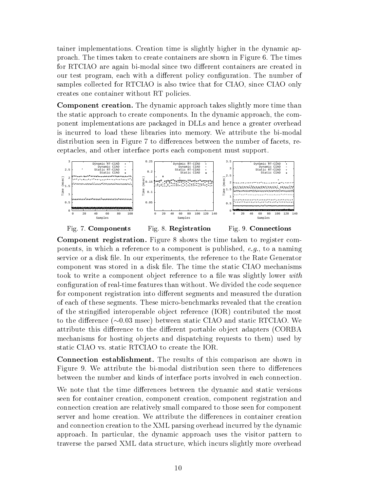tainer implementations. Creation time is slightly higher in the dynamic approach. The times taken to create containers are shown in Figure 6. The times for RTCIAO are again bi-modal since two different containers are created in our test program, each with a different policy configuration. The number of samples collected for RTCIAO is also twice that for CIAO, since CIAO only creates one container without RT policies.

Component creation. The dynamic approach takes slightly more time than the static approach to create components. In the dynamic approach, the component implementations are packaged in DLLs and hence a greater overhead is incurred to load these libraries into memory. We attribute the bi-modal distribution seen in Figure 7 to differences between the number of facets, receptacles, and other interface ports each component must support.







Fig. 9. Connections

Component registration. Figure 8 shows the time taken to register components, in which a reference to a component is published, e.g., to a naming service or a disk file. In our experiments, the reference to the Rate Generator component was stored in a disk file. The time the static CIAO mechanisms took to write a component object reference to a file was slightly lower with configuration of real-time features than without. We divided the code sequence for component registration into different segments and measured the duration of each of these segments. These micro-benchmarks revealed that the creation of the stringied interoperable ob ject reference (IOR) contributed the most to the difference  $(\sim 0.03$  msec) between static CIAO and static RTCIAO. We attribute this difference to the different portable object adapters (CORBA mechanisms for hosting objects and dispatching requests to them) used by static CIAO vs. static RTCIAO to create the IOR.

Connection establishment. The results of this comparison are shown in Figure 9. We attribute the bi-modal distribution seen there to differences between the number and kinds of interface ports involved in each connection.

We note that the time differences between the dynamic and static versions seen for container creation, component creation, component registration and connection creation are relatively small compared to those seen for component server and home creation. We attribute the differences in container creation and connection creation to the XML parsing overhead incurred by the dynamic approach. In particular, the dynamic approach uses the visitor pattern to traverse the parsed XML data structure, which incurs slightly more overhead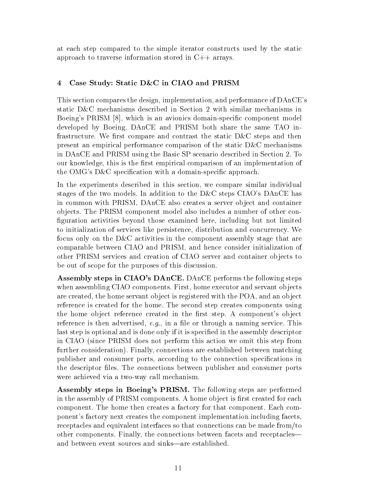at each step compared to the simple iterator constructs used by the static approach to traverse information stored in C++ arrays.

## 4 Case Study: Static D&C in CIAO and PRISM

This section compares the design, implementation, and performance of DAnCE's static D&C mechanisms described in Section 2 with similar mechanisms in Boeing's PRISM [8], which is an avionics domain-specific component model developed by Boeing. DAnCE and PRISM both share the same TAO infrastructure. We first compare and contrast the static  $D\&C$  steps and then present an empirical performance comparison of the static D&C mechanisms in DAnCE and PRISM using the Basic SP scenario described in Section 2. To our knowledge, this is the first empirical comparison of an implementation of the OMG's D&C specification with a domain-specific approach.

In the experiments described in this section, we compare similar individual stages of the two models. In addition to the D&C steps CIAO's DAnCE has in common with PRISM, DAnCE also creates a server object and container ob jects. The PRISM component model also includes a number of other con figuration activities beyond those examined here, including but not limited to initialization of services like persistence, distribution and concurrency. We focus only on the D&C activities in the component assembly stage that are comparable between CIAO and PRISM, and hence consider initialization of other PRISM services and creation of CIAO server and container ob jects to be out of scope for the purposes of this discussion.

Assembly steps in CIAO's DAnCE. DAnCE performs the following steps when assembling CIAO components. First, home executor and servant objects are created, the home servant object is registered with the POA, and an object reference is created for the home. The second step creates components using the home object reference created in the first step. A component's object reference is then advertised,  $e.g.,$  in a file or through a naming service. This last step is optional and is done only if it is specied in the assembly descriptor in CIAO (since PRISM does not perform this action we omit this step from further consideration). Finally, connections are established between matching publisher and consumer ports, according to the connection specications in the descriptor files. The connections between publisher and consumer ports were achieved via a two-way call mechanism.

Assembly steps in Boeing's PRISM. The following steps are performed in the assembly of PRISM components. A home object is first created for each component. The home then creates a factory for that component. Each component's factory next creates the component implementation including facets, receptacles and equivalent interfaces so that connections can be made from/to other components. Finally, the connections between facets and receptacles| and between event sources and sinks—are established.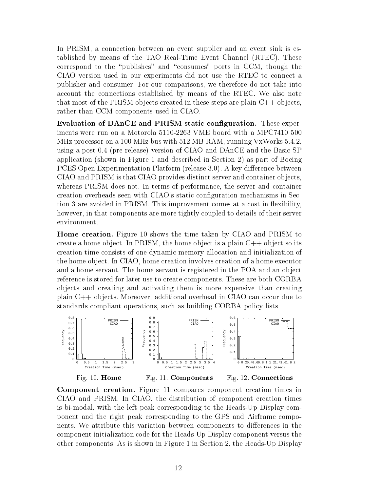In PRISM, a connection between an event supplier and an event sink is established by means of the TAO Real-Time Event Channel (RTEC). These correspond to the "publishes" and "consumes" ports in  $CCM$ , though the CIAO version used in our experiments did not use the RTEC to connect a publisher and consumer. For our comparisons, we therefore do not take into account the connections established by means of the RTEC. We also note that most of the PRISM objects created in these steps are plain  $C++$  objects, rather than CCM components used in CIAO.

Evaluation of DAnCE and PRISM static configuration. These experiments were run on a Motorola 5110-2263 VME board with a MPC7410 500 MHz processor on a 100 MHz bus with 512 MB RAM, running VxWorks 5.4.2, using a post-0.4 (pre-release) version of CIAO and DAnCE and the Basic SP application (shown in Figure 1 and described in Section 2) as part of Boeing PCES Open Experimentation Platform (release 3.0). A key difference between CIAO and PRISM is that CIAO provides distinct server and container objects, whereas PRISM does not. In terms of performance, the server and container creation overheads seen with CIAO's static conguration mechanisms in Section 3 are avoided in PRISM. This improvement comes at a cost in flexibility, however, in that components are more tightly coupled to details of their server environment.

Home creation. Figure 10 shows the time taken by CIAO and PRISM to create a home object. In PRISM, the home object is a plain  $C++$  object so its creation time consists of one dynamic memory allocation and initialization of the home ob ject. In CIAO, home creation involves creation of a home executor and a home servant. The home servant is registered in the POA and an object reference is stored for later use to create components. These are both CORBA ob jects and creating and activating them is more expensive than creating plain C++ ob jects. Moreover, additional overhead in CIAO can occur due to standards-compliant operations, such as building CORBA policy lists.



Component creation. Figure 11 compares component creation times in CIAO and PRISM. In CIAO, the distribution of component creation times is bi-modal, with the left peak corresponding to the Heads-Up Display component and the right peak corresponding to the GPS and Airframe components. We attribute this variation between components to differences in the component initialization code for the Heads-Up Display component versus the other components. As is shown in Figure 1 in Section 2, the Heads-Up Display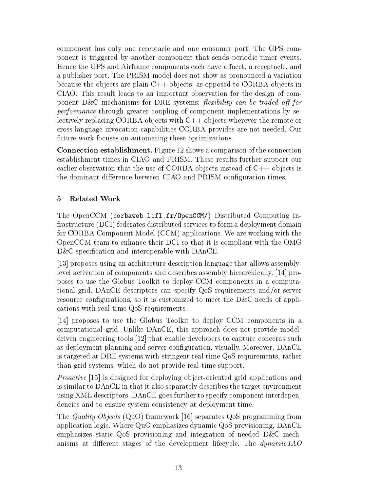component has only one receptacle and one consumer port. The GPS component is triggered by another component that sends periodic timer events. Hence the GPS and Airframe components each have a facet, a receptacle, and a publisher port. The PRISM model does not show as pronounced a variation because the objects are plain  $C++$  objects, as opposed to CORBA objects in CIAO. This result leads to an important observation for the design of component  $D&C$  mechanisms for DRE systems: flexibility can be traded off for performance through greater coupling of component implementations by selectively replacing CORBA objects with C++ objects wherever the remote or cross-language invocation capabilities CORBA provides are not needed. Our future work focuses on automating these optimizations.

Connection establishment. Figure 12 shows a comparison of the connection establishment times in CIAO and PRISM. These results further support our earlier observation that the use of CORBA objects instead of  $C++$  objects is the dominant difference between CIAO and PRISM configuration times.

## 5 Related Work

The OpenCCM (corbaweb.lifl.fr/OpenCCM/) Distributed Computing Infrastructure (DCI) federates distributed services to form a deployment domain for CORBA Component Model (CCM) applications. We are working with the OpenCCM team to enhance their DCI so that it is compliant with the OMG D&C specification and interoperable with DAnCE.

[13] proposes using an architecture description language that allows assemblylevel activation of components and describes assembly hierarchically. [14] proposes to use the Globus Toolkit to deploy CCM components in a computational grid. DAnCE descriptors can specify QoS requirements and/or server resource configurations, so it is customized to meet the  $D\&C$  needs of applications with real-time QoS requirements.

[14] proposes to use the Globus Toolkit to deploy CCM components in a computational grid. Unlike DAnCE, this approach does not provide modeldriven engineering tools [12] that enable developers to capture concerns such as deployment planning and server configuration, visually. Moreover,  $DAnCE$ is targeted at DRE systems with stringent real-time QoS requirements, rather than grid systems, which do not provide real-time support.

*Proactive* [15] is designed for deploying object-oriented grid applications and is similar to DAnCE in that it also separately describes the target environment using XML descriptors. DAnCE goes further to specify component interdependencies and to ensure system consistency at deployment time.

The Quality Objects (QuO) framework [16] separates QoS programming from application logic. Where QuO emphasizes dynamic QoS provisioning, DAnCE emphasizes static QoS provisioning and integration of needed D&C mechanisms at different stages of the development lifecycle. The  $dynamicTAO$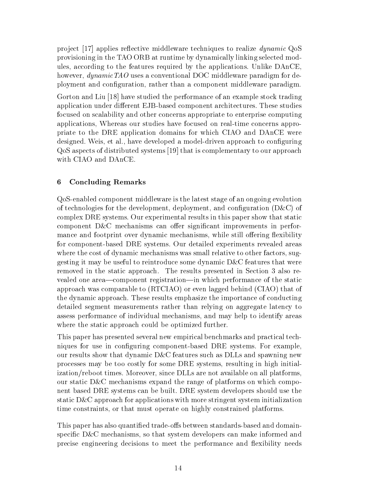project  $[17]$  applies reflective middleware techniques to realize *dynamic* QoS provisioning in the TAO ORB at runtime by dynamically linking selected modules, according to the features required by the applications. Unlike DAnCE, however,  $dynamicTAO$  uses a conventional DOC middleware paradigm for deployment and conguration, rather than a component middleware paradigm.

Gorton and Liu [18] have studied the performance of an example stock trading application under different EJB-based component architectures. These studies focused on scalability and other concerns appropriate to enterprise computing applications, Whereas our studies have focused on real-time concerns appropriate to the DRE application domains for which CIAO and DAnCE were designed. Weis, et al., have developed a model-driven approach to configuring QoS aspects of distributed systems [19] that is complementary to our approach with CIAO and DAnCE.

#### 6 Concluding Remarks

QoS-enabled component middleware is the latest stage of an ongoing evolution of technologies for the development, deployment, and configuration  $(D\&C)$  of complex DRE systems. Our experimental results in this paper show that static component  $D&C$  mechanisms can offer significant improvements in performance and footprint over dynamic mechanisms, while still offering flexibility for component-based DRE systems. Our detailed experiments revealed areas where the cost of dynamic mechanisms was small relative to other factors, suggesting it may be useful to reintroduce some dynamic D&C features that were removed in the static approach. The results presented in Section 3 also revealed one area—component registration—in which performance of the static approach was comparable to (RTCIAO) or even lagged behind (CIAO) that of the dynamic approach. These results emphasize the importance of conducting detailed segment measurements rather than relying on aggregate latency to assess performance of individual mechanisms, and may help to identify areas where the static approach could be optimized further.

This paper has presented several new empirical benchmarks and practical techniques for use in configuring component-based DRE systems. For example, our results show that dynamic D&C features such as DLLs and spawning new processes may be too costly for some DRE systems, resulting in high initialization/reboot times. Moreover, since DLLs are not available on all platforms, our static D&C mechanisms expand the range of platforms on which component based DRE systems can be built. DRE system developers should use the static D&C approach for applications with more stringent system initialization time constraints, or that must operate on highly constrained platforms.

This paper has also quantified trade-offs between standards-based and domainspecific D&C mechanisms, so that system developers can make informed and precise engineering decisions to meet the performance and flexibility needs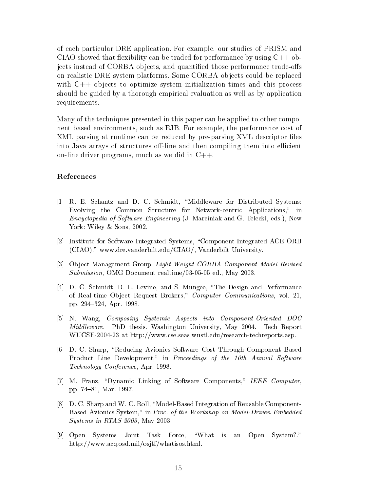of each particular DRE application. For example, our studies of PRISM and CIAO showed that flexibility can be traded for performance by using  $C++$  objects instead of CORBA objects, and quantified those performance trade-offs on realistic DRE system platforms. Some CORBA objects could be replaced with  $C++$  objects to optimize system initialization times and this process should be guided by a thorough empirical evaluation as well as by application requirements.

Many of the techniques presented in this paper can be applied to other component based environments, such as EJB. For example, the performance cost of XML parsing at runtime can be reduced by pre-parsing XML descriptor files into Java arrays of structures off-line and then compiling them into efficient on-line driver programs, much as we did in C++.

#### References

- [1] R. E. Schantz and D. C. Schmidt, "Middleware for Distributed Systems: Evolving the Common Structure for Network-centric Applications," in Encyclopedia of Software Engineering (J. Marciniak and G. Telecki, eds.), New York: Wiley & Sons, 2002.
- [2] Institute for Software Integrated Systems, \Component-Integrated ACE ORB (CIAO)." www.dre.vanderbilt.edu/CIAO/, Vanderbilt University.
- [3] Object Management Group, Light Weight CORBA Component Model Revised Submission, OMG Document realtime/03-05-05 ed., May 2003.
- [4] D. C. Schmidt, D. L. Levine, and S. Mungee, \The Design and Performance of Real-time Object Request Brokers," Computer Communications, vol. 21, pp. 294-324, Apr. 1998.
- [5] N. Wang, Composing Systemic Aspects into Component-Oriented DOC *Middleware.* PhD thesis, Washington University, May 2004. Tech Report WUCSE-2004-23 at http://www.cse.seas.wustl.edu/research-techreports.asp.
- [6] D. C. Sharp, "Reducing Avionics Software Cost Through Component Based Product Line Development," in Proceedings of the 10th Annual Software Technology Conference, Apr. 1998.
- [7] M. Franz, "Dynamic Linking of Software Components," IEEE Computer, pp. 74-81, Mar. 1997.
- [8] D. C. Sharp and W. C. Roll, "Model-Based Integration of Reusable Component-Based Avionics System," in Proc. of the Workshop on Model-Driven Embedded Systems in RTAS 2003, May 2003.
- [9] Open Systems Joint Task Force, \What is an Open System?." http://www.acq.osd.mil/osjtf/whatisos.html.